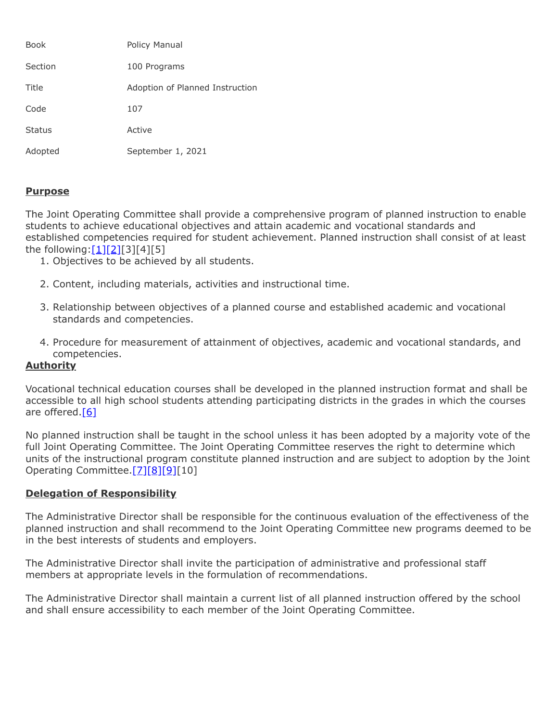| <b>Book</b>   | Policy Manual                   |
|---------------|---------------------------------|
| Section       | 100 Programs                    |
| Title         | Adoption of Planned Instruction |
| Code          | 107                             |
| <b>Status</b> | Active                          |
| Adopted       | September 1, 2021               |

## **Purpose**

The Joint Operating Committee shall provide a comprehensive program of planned instruction to enable students to achieve educational objectives and attain academic and vocational standards and established competencies required for student achievement. Planned instruction shall consist of at least the following: $[1][2][3][4][5]$  $[1][2][3][4][5]$  $[1][2][3][4][5]$ 

- 1. Objectives to be achieved by all students.
- 2. Content, including materials, activities and instructional time.
- 3. Relationship between objectives of a planned course and established academic and vocational standards and competencies.
- 4. Procedure for measurement of attainment of objectives, academic and vocational standards, and competencies.

## **Authority**

Vocational technical education courses shall be developed in the planned instruction format and shall be accessible to all high school students attending participating districts in the grades in which the courses are offered.<sup>[\[6\]](http://pacodeandbulletin.gov/Display/pacode?file=/secure/pacode/data/022/chapter4/s4.31.html&d=reduce)</sup>

No planned instruction shall be taught in the school unless it has been adopted by a majority vote of the full Joint Operating Committee. The Joint Operating Committee reserves the right to determine which units of the instructional program constitute planned instruction and are subject to adoption by the Joint Operating Committee[.\[7\]](http://www.legis.state.pa.us/cfdocs/legis/LI/uconsCheck.cfm?txtType=HTM&yr=1949&sessInd=0&smthLwInd=0&act=14&chpt=5&sctn=8&subsctn=0)[\[8\]](http://www.legis.state.pa.us/cfdocs/legis/LI/uconsCheck.cfm?txtType=HTM&yr=1949&sessInd=0&smthLwInd=0&act=14&chpt=15&sctn=11&subsctn=0)[\[9\]\[](http://www.legis.state.pa.us/cfdocs/legis/LI/uconsCheck.cfm?txtType=HTM&yr=1949&sessInd=0&smthLwInd=0&act=14&chpt=15&sctn=12&subsctn=0)10]

## **Delegation of Responsibility**

The Administrative Director shall be responsible for the continuous evaluation of the effectiveness of the planned instruction and shall recommend to the Joint Operating Committee new programs deemed to be in the best interests of students and employers.

The Administrative Director shall invite the participation of administrative and professional staff members at appropriate levels in the formulation of recommendations.

The Administrative Director shall maintain a current list of all planned instruction offered by the school and shall ensure accessibility to each member of the Joint Operating Committee.